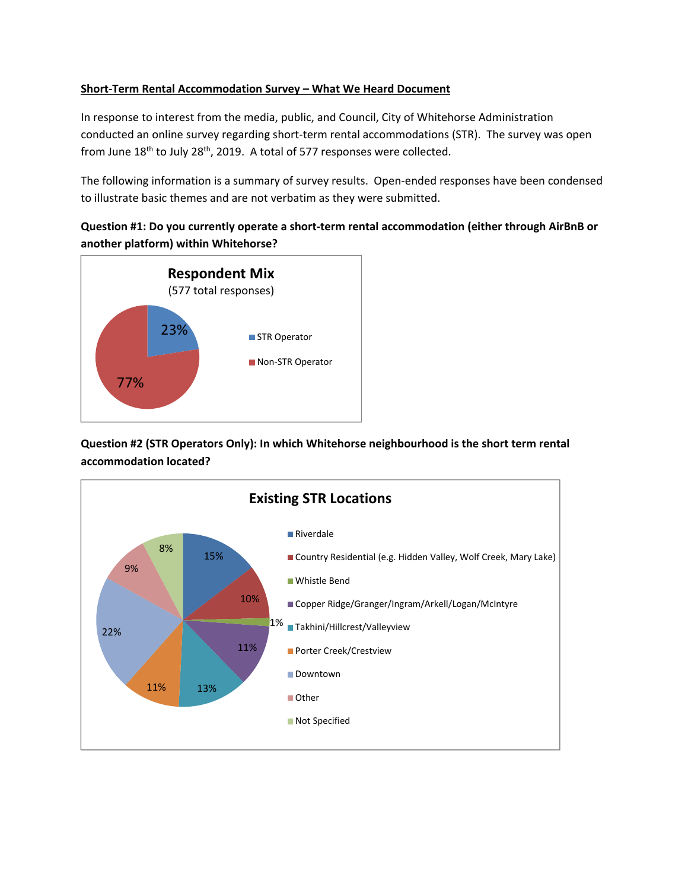### **Short‐Term Rental Accommodation Survey – What We Heard Document**

In response to interest from the media, public, and Council, City of Whitehorse Administration conducted an online survey regarding short-term rental accommodations (STR). The survey was open from June 18<sup>th</sup> to July 28<sup>th</sup>, 2019. A total of 577 responses were collected.

The following information is a summary of survey results. Open‐ended responses have been condensed to illustrate basic themes and are not verbatim as they were submitted.

# **Question #1: Do you currently operate a short‐term rental accommodation (either through AirBnB or another platform) within Whitehorse?**



**Question #2 (STR Operators Only): In which Whitehorse neighbourhood is the short term rental accommodation located?**

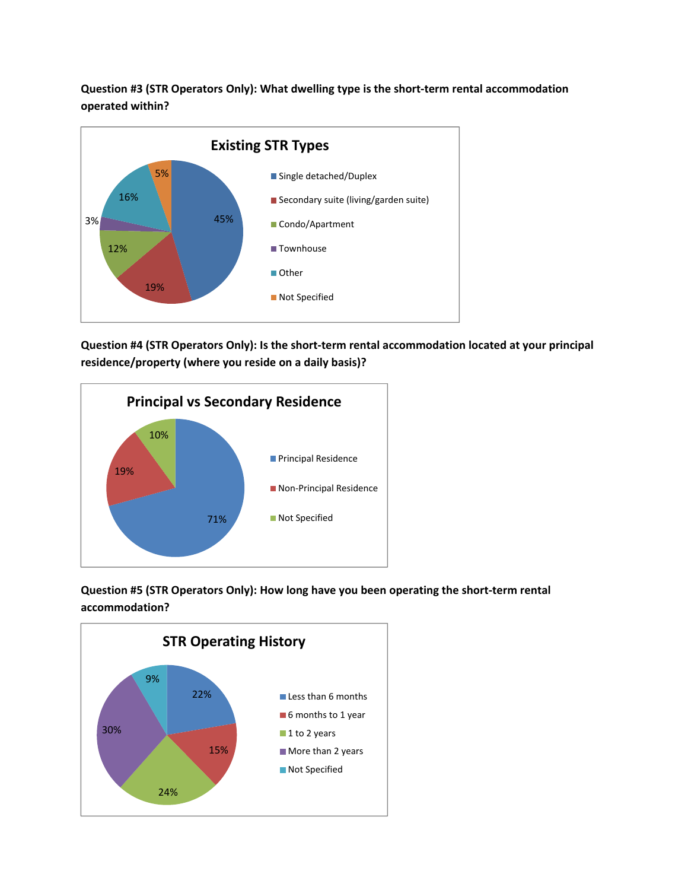**Question #3 (STR Operators Only): What dwelling type is the short‐term rental accommodation operated within?**



**Question #4 (STR Operators Only): Is the short‐term rental accommodation located at your principal residence/property (where you reside on a daily basis)?**



**Question #5 (STR Operators Only): How long have you been operating the short‐term rental accommodation?**

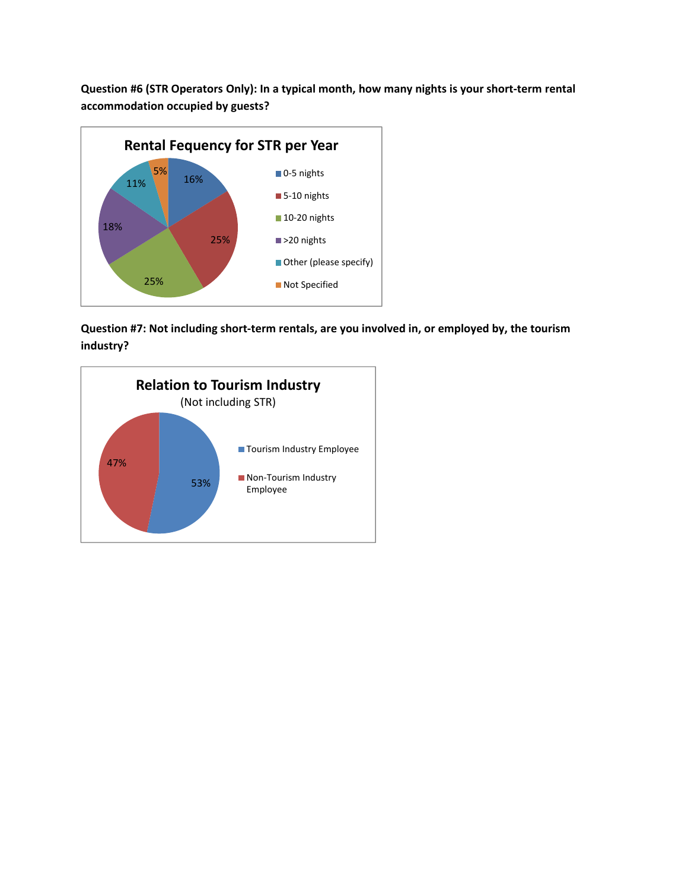**Question #6 (STR Operators Only): In a typical month, how many nights is your short‐term rental accommodation occupied by guests?**



**Question #7: Not including short‐term rentals, are you involved in, or employed by, the tourism industry?**

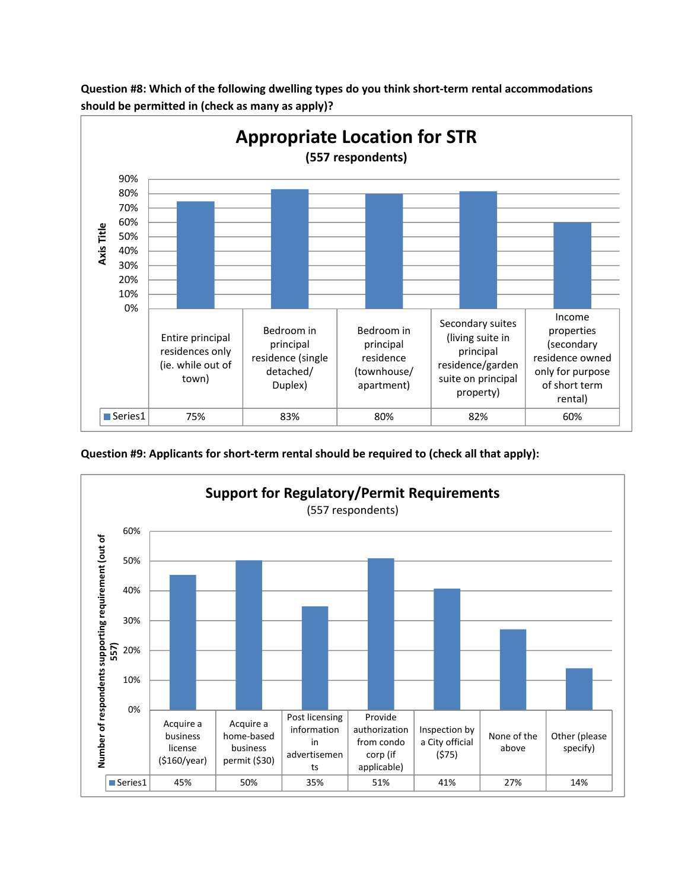

**Question #8: Which of the following dwelling types do you think short‐term rental accommodations should be permitted in (check as many as apply)?**

**Question #9: Applicants for short‐term rental should be required to (check all that apply):**

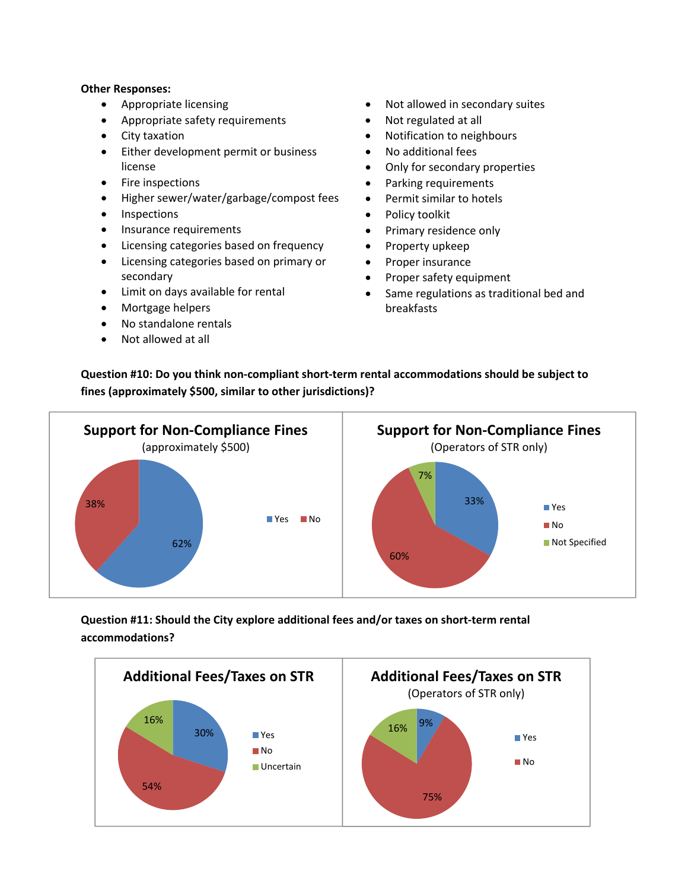#### **Other Responses:**

- Appropriate licensing
- Appropriate safety requirements
- City taxation
- **•** Either development permit or business license
- Fire inspections
- Higher sewer/water/garbage/compost fees
- Inspections
- Insurance requirements
- Licensing categories based on frequency
- Licensing categories based on primary or secondary
- Limit on days available for rental
- Mortgage helpers
- No standalone rentals
- Not allowed at all
- Not allowed in secondary suites
- Not regulated at all
- Notification to neighbours
- No additional fees
- Only for secondary properties
- Parking requirements
- Permit similar to hotels
- Policy toolkit
- Primary residence only
- Property upkeep
- Proper insurance
- Proper safety equipment
- Same regulations as traditional bed and breakfasts

**Question #10: Do you think non‐compliant short‐term rental accommodations should be subject to fines (approximately \$500, similar to other jurisdictions)?**



**Question #11: Should the City explore additional fees and/or taxes on short‐term rental accommodations?**

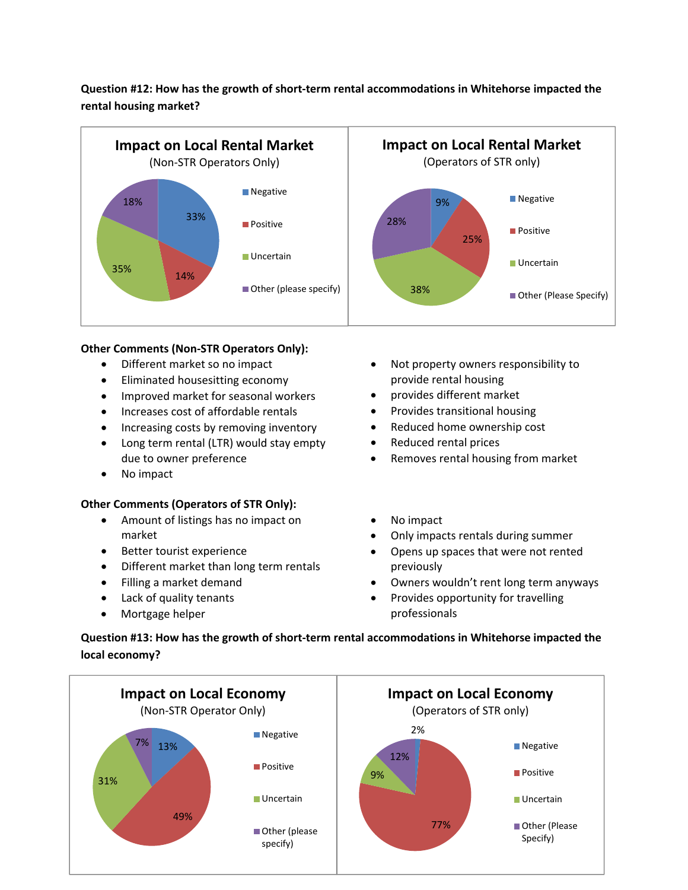# **Question #12: How has the growth of short‐term rental accommodations in Whitehorse impacted the rental housing market?**



## **Other Comments (Non‐STR Operators Only):**

- Different market so no impact
- Eliminated housesitting economy
- Improved market for seasonal workers
- Increases cost of affordable rentals
- Increasing costs by removing inventory
- Long term rental (LTR) would stay empty due to owner preference
- No impact

## **Other Comments (Operators of STR Only):**

- Amount of listings has no impact on market
- **•** Better tourist experience
- Different market than long term rentals
- Filling a market demand
- Lack of quality tenants
- Mortgage helper
- Not property owners responsibility to provide rental housing
- provides different market
- Provides transitional housing
- Reduced home ownership cost
- Reduced rental prices
- Removes rental housing from market
- No impact
- Only impacts rentals during summer
- Opens up spaces that were not rented previously
- Owners wouldn't rent long term anyways
- Provides opportunity for travelling professionals

**Question #13: How has the growth of short‐term rental accommodations in Whitehorse impacted the local economy?**

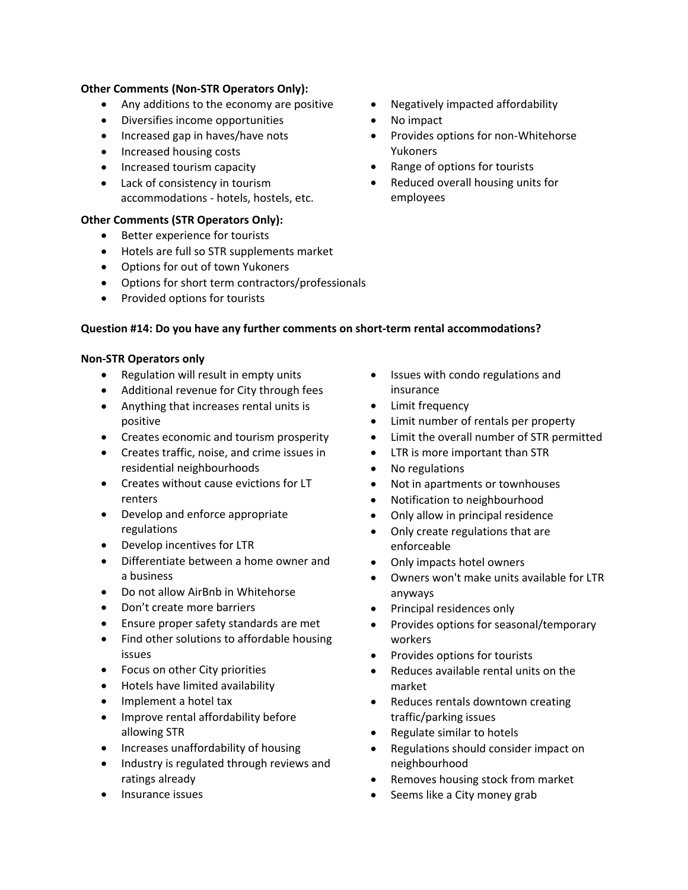### **Other Comments (Non‐STR Operators Only):**

- Any additions to the economy are positive
- Diversifies income opportunities
- Increased gap in haves/have nots
- Increased housing costs
- Increased tourism capacity
- Lack of consistency in tourism accommodations ‐ hotels, hostels, etc.

### **Other Comments (STR Operators Only):**

- **•** Better experience for tourists
- Hotels are full so STR supplements market
- Options for out of town Yukoners
- Options for short term contractors/professionals
- Provided options for tourists

#### **Question #14: Do you have any further comments on short‐term rental accommodations?**

#### **Non‐STR Operators only**

- Regulation will result in empty units
- Additional revenue for City through fees
- Anything that increases rental units is positive
- Creates economic and tourism prosperity
- Creates traffic, noise, and crime issues in residential neighbourhoods
- Creates without cause evictions for LT renters
- Develop and enforce appropriate regulations
- Develop incentives for LTR
- Differentiate between a home owner and a business
- Do not allow AirBnb in Whitehorse
- Don't create more barriers
- Ensure proper safety standards are met
- Find other solutions to affordable housing issues
- Focus on other City priorities
- Hotels have limited availability
- Implement a hotel tax
- Improve rental affordability before allowing STR
- Increases unaffordability of housing
- Industry is regulated through reviews and ratings already
- Insurance issues
- Negatively impacted affordability
- No impact
- Provides options for non-Whitehorse Yukoners
- Range of options for tourists
- Reduced overall housing units for employees

- Issues with condo regulations and insurance
- Limit frequency
- Limit number of rentals per property
- Limit the overall number of STR permitted
- LTR is more important than STR
- No regulations
- Not in apartments or townhouses
- Notification to neighbourhood
- Only allow in principal residence
- Only create regulations that are enforceable
- Only impacts hotel owners
- Owners won't make units available for LTR anyways
- Principal residences only
- Provides options for seasonal/temporary workers
- Provides options for tourists
- Reduces available rental units on the market
- Reduces rentals downtown creating traffic/parking issues
- Regulate similar to hotels
- Regulations should consider impact on neighbourhood
- Removes housing stock from market
- Seems like a City money grab